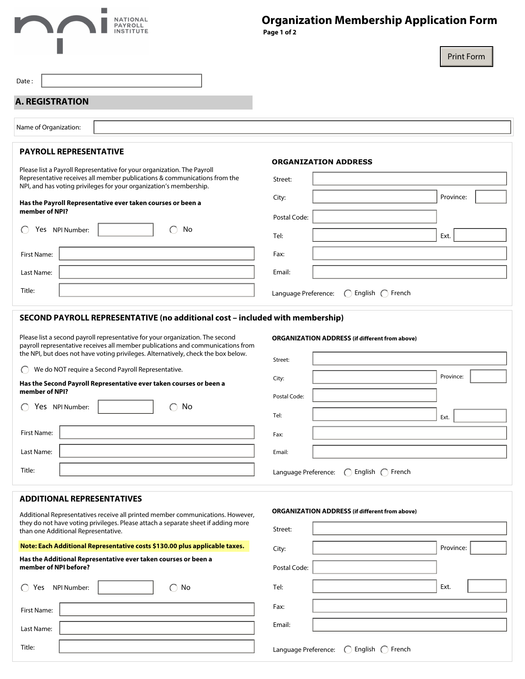## **I NATIONAL<br>PAYROLL<br>INSTITUTE** П

# **Organization Membership Application Form**

 **Page 1 of 2**

|                                                                                                                                                                                                                                                       | <b>Print Form</b>                                                                                       |
|-------------------------------------------------------------------------------------------------------------------------------------------------------------------------------------------------------------------------------------------------------|---------------------------------------------------------------------------------------------------------|
| Date:                                                                                                                                                                                                                                                 |                                                                                                         |
| <b>A. REGISTRATION</b>                                                                                                                                                                                                                                |                                                                                                         |
|                                                                                                                                                                                                                                                       |                                                                                                         |
| Name of Organization:                                                                                                                                                                                                                                 |                                                                                                         |
| <b>PAYROLL REPRESENTATIVE</b>                                                                                                                                                                                                                         | <b>ORGANIZATION ADDRESS</b>                                                                             |
| Please list a Payroll Representative for your organization. The Payroll<br>Representative receives all member publications & communications from the<br>NPI, and has voting privileges for your organization's membership.                            | Street:                                                                                                 |
| Has the Payroll Representative ever taken courses or been a                                                                                                                                                                                           | $\blacktriangledown$<br>Province:<br>City:                                                              |
| member of NPI?                                                                                                                                                                                                                                        | Postal Code:                                                                                            |
| No<br>Yes NPI Number:<br>€                                                                                                                                                                                                                            | Ext.<br>Tel:                                                                                            |
| First Name:                                                                                                                                                                                                                                           | Fax:                                                                                                    |
| Last Name:                                                                                                                                                                                                                                            | Email:                                                                                                  |
| Title:                                                                                                                                                                                                                                                | Language Preference:<br>English $\bigcap$ French<br>$\left( \begin{array}{c} \cdot \end{array} \right)$ |
| SECOND PAYROLL REPRESENTATIVE (no additional cost - included with membership)                                                                                                                                                                         |                                                                                                         |
| Please list a second payroll representative for your organization. The second<br>payroll representative receives all member publications and communications from<br>the NPI, but does not have voting privileges. Alternatively, check the box below. | <b>ORGANIZATION ADDRESS (if different from above)</b>                                                   |
| We do NOT require a Second Payroll Representative.                                                                                                                                                                                                    | Street:                                                                                                 |
| Has the Second Payroll Representative ever taken courses or been a                                                                                                                                                                                    | $\blacktriangledown$<br>Province:<br>City:                                                              |
| member of NPI?                                                                                                                                                                                                                                        | Postal Code:                                                                                            |
| No<br>Yes NPI Number:                                                                                                                                                                                                                                 | Tel:<br>Ext.                                                                                            |
| First Name:                                                                                                                                                                                                                                           | Fax:                                                                                                    |
| Last Name:                                                                                                                                                                                                                                            | Email:                                                                                                  |
| Title:                                                                                                                                                                                                                                                | Language Preference: ◯ English ◯ French                                                                 |
| <b>ADDITIONAL REPRESENTATIVES</b>                                                                                                                                                                                                                     |                                                                                                         |
| Additional Representatives receive all printed member communications. However,                                                                                                                                                                        | <b>ORGANIZATION ADDRESS (if different from above)</b>                                                   |
| they do not have voting privileges. Please attach a separate sheet if adding more<br>than one Additional Representative.                                                                                                                              | Street:                                                                                                 |
| Note: Each Additional Representative costs \$130.00 plus applicable taxes.                                                                                                                                                                            | Province:<br>$\vert \mathbf{v} \vert$<br>City:                                                          |
| Has the Additional Representative ever taken courses or been a<br>member of NPI before?                                                                                                                                                               | Postal Code:                                                                                            |
| NPI Number:<br>$\bigcirc$ No<br>Yes                                                                                                                                                                                                                   | Ext.<br>Tel:                                                                                            |
| First Name:                                                                                                                                                                                                                                           | Fax:                                                                                                    |
| Last Name:                                                                                                                                                                                                                                            | Email:                                                                                                  |
| Title:                                                                                                                                                                                                                                                | Language Preference: ○ English ○ French                                                                 |